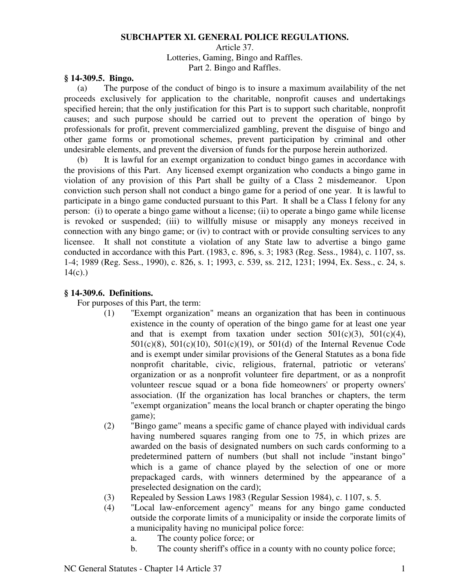#### **SUBCHAPTER XI. GENERAL POLICE REGULATIONS.**

Article 37. Lotteries, Gaming, Bingo and Raffles. Part 2. Bingo and Raffles.

## **§ 14-309.5. Bingo.**

(a) The purpose of the conduct of bingo is to insure a maximum availability of the net proceeds exclusively for application to the charitable, nonprofit causes and undertakings specified herein; that the only justification for this Part is to support such charitable, nonprofit causes; and such purpose should be carried out to prevent the operation of bingo by professionals for profit, prevent commercialized gambling, prevent the disguise of bingo and other game forms or promotional schemes, prevent participation by criminal and other undesirable elements, and prevent the diversion of funds for the purpose herein authorized.

(b) It is lawful for an exempt organization to conduct bingo games in accordance with the provisions of this Part. Any licensed exempt organization who conducts a bingo game in violation of any provision of this Part shall be guilty of a Class 2 misdemeanor. Upon conviction such person shall not conduct a bingo game for a period of one year. It is lawful to participate in a bingo game conducted pursuant to this Part. It shall be a Class I felony for any person: (i) to operate a bingo game without a license; (ii) to operate a bingo game while license is revoked or suspended; (iii) to willfully misuse or misapply any moneys received in connection with any bingo game; or (iv) to contract with or provide consulting services to any licensee. It shall not constitute a violation of any State law to advertise a bingo game conducted in accordance with this Part. (1983, c. 896, s. 3; 1983 (Reg. Sess., 1984), c. 1107, ss. 1-4; 1989 (Reg. Sess., 1990), c. 826, s. 1; 1993, c. 539, ss. 212, 1231; 1994, Ex. Sess., c. 24, s.  $14(c)$ .)

# **§ 14-309.6. Definitions.**

For purposes of this Part, the term:

- (1) "Exempt organization" means an organization that has been in continuous existence in the county of operation of the bingo game for at least one year and that is exempt from taxation under section  $501(c)(3)$ ,  $501(c)(4)$ , 501(c)(8), 501(c)(10), 501(c)(19), or 501(d) of the Internal Revenue Code and is exempt under similar provisions of the General Statutes as a bona fide nonprofit charitable, civic, religious, fraternal, patriotic or veterans' organization or as a nonprofit volunteer fire department, or as a nonprofit volunteer rescue squad or a bona fide homeowners' or property owners' association. (If the organization has local branches or chapters, the term "exempt organization" means the local branch or chapter operating the bingo game);
- (2) "Bingo game" means a specific game of chance played with individual cards having numbered squares ranging from one to 75, in which prizes are awarded on the basis of designated numbers on such cards conforming to a predetermined pattern of numbers (but shall not include "instant bingo" which is a game of chance played by the selection of one or more prepackaged cards, with winners determined by the appearance of a preselected designation on the card);
- (3) Repealed by Session Laws 1983 (Regular Session 1984), c. 1107, s. 5.
- (4) "Local law-enforcement agency" means for any bingo game conducted outside the corporate limits of a municipality or inside the corporate limits of a municipality having no municipal police force:
	- a. The county police force; or
	- b. The county sheriff's office in a county with no county police force;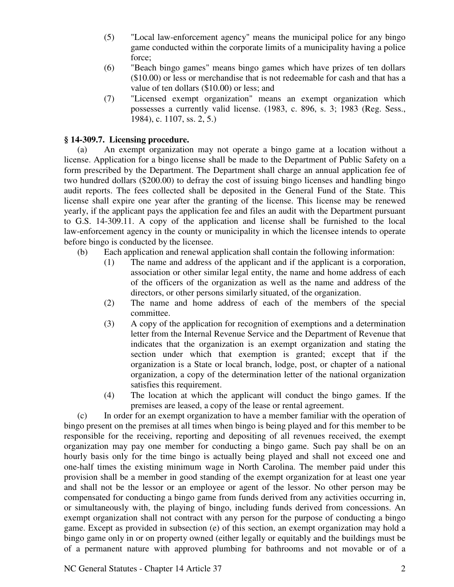- (5) "Local law-enforcement agency" means the municipal police for any bingo game conducted within the corporate limits of a municipality having a police force;
- (6) "Beach bingo games" means bingo games which have prizes of ten dollars (\$10.00) or less or merchandise that is not redeemable for cash and that has a value of ten dollars (\$10.00) or less; and
- (7) "Licensed exempt organization" means an exempt organization which possesses a currently valid license. (1983, c. 896, s. 3; 1983 (Reg. Sess., 1984), c. 1107, ss. 2, 5.)

# **§ 14-309.7. Licensing procedure.**

(a) An exempt organization may not operate a bingo game at a location without a license. Application for a bingo license shall be made to the Department of Public Safety on a form prescribed by the Department. The Department shall charge an annual application fee of two hundred dollars (\$200.00) to defray the cost of issuing bingo licenses and handling bingo audit reports. The fees collected shall be deposited in the General Fund of the State. This license shall expire one year after the granting of the license. This license may be renewed yearly, if the applicant pays the application fee and files an audit with the Department pursuant to G.S. 14-309.11. A copy of the application and license shall be furnished to the local law-enforcement agency in the county or municipality in which the licensee intends to operate before bingo is conducted by the licensee.

- (b) Each application and renewal application shall contain the following information:
	- (1) The name and address of the applicant and if the applicant is a corporation, association or other similar legal entity, the name and home address of each of the officers of the organization as well as the name and address of the directors, or other persons similarly situated, of the organization.
	- (2) The name and home address of each of the members of the special committee.
	- (3) A copy of the application for recognition of exemptions and a determination letter from the Internal Revenue Service and the Department of Revenue that indicates that the organization is an exempt organization and stating the section under which that exemption is granted; except that if the organization is a State or local branch, lodge, post, or chapter of a national organization, a copy of the determination letter of the national organization satisfies this requirement.
	- (4) The location at which the applicant will conduct the bingo games. If the premises are leased, a copy of the lease or rental agreement.

(c) In order for an exempt organization to have a member familiar with the operation of bingo present on the premises at all times when bingo is being played and for this member to be responsible for the receiving, reporting and depositing of all revenues received, the exempt organization may pay one member for conducting a bingo game. Such pay shall be on an hourly basis only for the time bingo is actually being played and shall not exceed one and one-half times the existing minimum wage in North Carolina. The member paid under this provision shall be a member in good standing of the exempt organization for at least one year and shall not be the lessor or an employee or agent of the lessor. No other person may be compensated for conducting a bingo game from funds derived from any activities occurring in, or simultaneously with, the playing of bingo, including funds derived from concessions. An exempt organization shall not contract with any person for the purpose of conducting a bingo game. Except as provided in subsection (e) of this section, an exempt organization may hold a bingo game only in or on property owned (either legally or equitably and the buildings must be of a permanent nature with approved plumbing for bathrooms and not movable or of a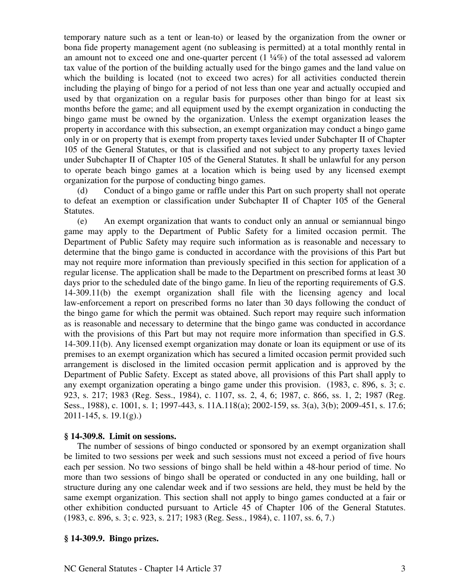temporary nature such as a tent or lean-to) or leased by the organization from the owner or bona fide property management agent (no subleasing is permitted) at a total monthly rental in an amount not to exceed one and one-quarter percent  $(1 \frac{1}{4}\%)$  of the total assessed ad valorem tax value of the portion of the building actually used for the bingo games and the land value on which the building is located (not to exceed two acres) for all activities conducted therein including the playing of bingo for a period of not less than one year and actually occupied and used by that organization on a regular basis for purposes other than bingo for at least six months before the game; and all equipment used by the exempt organization in conducting the bingo game must be owned by the organization. Unless the exempt organization leases the property in accordance with this subsection, an exempt organization may conduct a bingo game only in or on property that is exempt from property taxes levied under Subchapter II of Chapter 105 of the General Statutes, or that is classified and not subject to any property taxes levied under Subchapter II of Chapter 105 of the General Statutes. It shall be unlawful for any person to operate beach bingo games at a location which is being used by any licensed exempt organization for the purpose of conducting bingo games.

(d) Conduct of a bingo game or raffle under this Part on such property shall not operate to defeat an exemption or classification under Subchapter II of Chapter 105 of the General Statutes.

(e) An exempt organization that wants to conduct only an annual or semiannual bingo game may apply to the Department of Public Safety for a limited occasion permit. The Department of Public Safety may require such information as is reasonable and necessary to determine that the bingo game is conducted in accordance with the provisions of this Part but may not require more information than previously specified in this section for application of a regular license. The application shall be made to the Department on prescribed forms at least 30 days prior to the scheduled date of the bingo game. In lieu of the reporting requirements of G.S. 14-309.11(b) the exempt organization shall file with the licensing agency and local law-enforcement a report on prescribed forms no later than 30 days following the conduct of the bingo game for which the permit was obtained. Such report may require such information as is reasonable and necessary to determine that the bingo game was conducted in accordance with the provisions of this Part but may not require more information than specified in G.S. 14-309.11(b). Any licensed exempt organization may donate or loan its equipment or use of its premises to an exempt organization which has secured a limited occasion permit provided such arrangement is disclosed in the limited occasion permit application and is approved by the Department of Public Safety. Except as stated above, all provisions of this Part shall apply to any exempt organization operating a bingo game under this provision. (1983, c. 896, s. 3; c. 923, s. 217; 1983 (Reg. Sess., 1984), c. 1107, ss. 2, 4, 6; 1987, c. 866, ss. 1, 2; 1987 (Reg. Sess., 1988), c. 1001, s. 1; 1997-443, s. 11A.118(a); 2002-159, ss. 3(a), 3(b); 2009-451, s. 17.6; 2011-145, s. 19.1(g).)

## **§ 14-309.8. Limit on sessions.**

The number of sessions of bingo conducted or sponsored by an exempt organization shall be limited to two sessions per week and such sessions must not exceed a period of five hours each per session. No two sessions of bingo shall be held within a 48-hour period of time. No more than two sessions of bingo shall be operated or conducted in any one building, hall or structure during any one calendar week and if two sessions are held, they must be held by the same exempt organization. This section shall not apply to bingo games conducted at a fair or other exhibition conducted pursuant to Article 45 of Chapter 106 of the General Statutes. (1983, c. 896, s. 3; c. 923, s. 217; 1983 (Reg. Sess., 1984), c. 1107, ss. 6, 7.)

#### **§ 14-309.9. Bingo prizes.**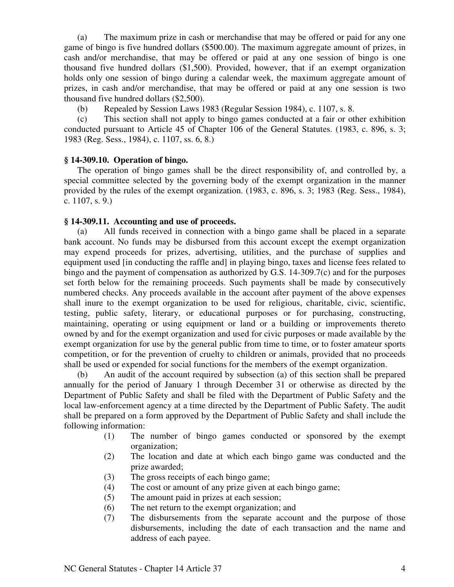(a) The maximum prize in cash or merchandise that may be offered or paid for any one game of bingo is five hundred dollars (\$500.00). The maximum aggregate amount of prizes, in cash and/or merchandise, that may be offered or paid at any one session of bingo is one thousand five hundred dollars (\$1,500). Provided, however, that if an exempt organization holds only one session of bingo during a calendar week, the maximum aggregate amount of prizes, in cash and/or merchandise, that may be offered or paid at any one session is two thousand five hundred dollars (\$2,500).

(b) Repealed by Session Laws 1983 (Regular Session 1984), c. 1107, s. 8.

(c) This section shall not apply to bingo games conducted at a fair or other exhibition conducted pursuant to Article 45 of Chapter 106 of the General Statutes. (1983, c. 896, s. 3; 1983 (Reg. Sess., 1984), c. 1107, ss. 6, 8.)

## **§ 14-309.10. Operation of bingo.**

The operation of bingo games shall be the direct responsibility of, and controlled by, a special committee selected by the governing body of the exempt organization in the manner provided by the rules of the exempt organization. (1983, c. 896, s. 3; 1983 (Reg. Sess., 1984), c. 1107, s. 9.)

#### **§ 14-309.11. Accounting and use of proceeds.**

(a) All funds received in connection with a bingo game shall be placed in a separate bank account. No funds may be disbursed from this account except the exempt organization may expend proceeds for prizes, advertising, utilities, and the purchase of supplies and equipment used [in conducting the raffle and] in playing bingo, taxes and license fees related to bingo and the payment of compensation as authorized by G.S. 14-309.7(c) and for the purposes set forth below for the remaining proceeds. Such payments shall be made by consecutively numbered checks. Any proceeds available in the account after payment of the above expenses shall inure to the exempt organization to be used for religious, charitable, civic, scientific, testing, public safety, literary, or educational purposes or for purchasing, constructing, maintaining, operating or using equipment or land or a building or improvements thereto owned by and for the exempt organization and used for civic purposes or made available by the exempt organization for use by the general public from time to time, or to foster amateur sports competition, or for the prevention of cruelty to children or animals, provided that no proceeds shall be used or expended for social functions for the members of the exempt organization.

(b) An audit of the account required by subsection (a) of this section shall be prepared annually for the period of January 1 through December 31 or otherwise as directed by the Department of Public Safety and shall be filed with the Department of Public Safety and the local law-enforcement agency at a time directed by the Department of Public Safety. The audit shall be prepared on a form approved by the Department of Public Safety and shall include the following information:

- (1) The number of bingo games conducted or sponsored by the exempt organization;
- (2) The location and date at which each bingo game was conducted and the prize awarded;
- (3) The gross receipts of each bingo game;
- (4) The cost or amount of any prize given at each bingo game;
- (5) The amount paid in prizes at each session;
- (6) The net return to the exempt organization; and
- (7) The disbursements from the separate account and the purpose of those disbursements, including the date of each transaction and the name and address of each payee.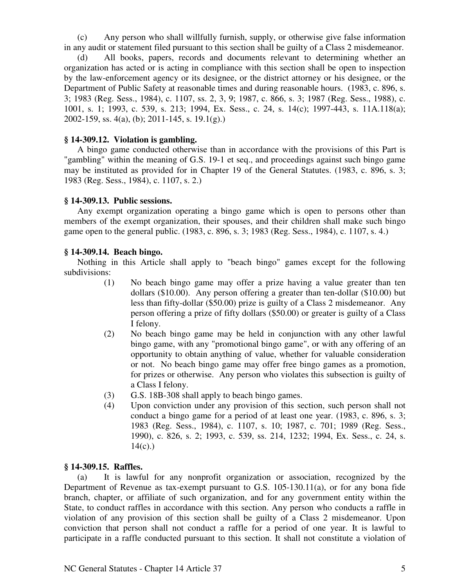(c) Any person who shall willfully furnish, supply, or otherwise give false information in any audit or statement filed pursuant to this section shall be guilty of a Class 2 misdemeanor.

All books, papers, records and documents relevant to determining whether an organization has acted or is acting in compliance with this section shall be open to inspection by the law-enforcement agency or its designee, or the district attorney or his designee, or the Department of Public Safety at reasonable times and during reasonable hours. (1983, c. 896, s. 3; 1983 (Reg. Sess., 1984), c. 1107, ss. 2, 3, 9; 1987, c. 866, s. 3; 1987 (Reg. Sess., 1988), c. 1001, s. 1; 1993, c. 539, s. 213; 1994, Ex. Sess., c. 24, s. 14(c); 1997-443, s. 11A.118(a); 2002-159, ss.  $4(a)$ , (b); 2011-145, s. 19.1(g).)

## **§ 14-309.12. Violation is gambling.**

A bingo game conducted otherwise than in accordance with the provisions of this Part is "gambling" within the meaning of G.S. 19-1 et seq., and proceedings against such bingo game may be instituted as provided for in Chapter 19 of the General Statutes. (1983, c. 896, s. 3; 1983 (Reg. Sess., 1984), c. 1107, s. 2.)

# **§ 14-309.13. Public sessions.**

Any exempt organization operating a bingo game which is open to persons other than members of the exempt organization, their spouses, and their children shall make such bingo game open to the general public. (1983, c. 896, s. 3; 1983 (Reg. Sess., 1984), c. 1107, s. 4.)

# **§ 14-309.14. Beach bingo.**

Nothing in this Article shall apply to "beach bingo" games except for the following subdivisions:

- (1) No beach bingo game may offer a prize having a value greater than ten dollars (\$10.00). Any person offering a greater than ten-dollar (\$10.00) but less than fifty-dollar (\$50.00) prize is guilty of a Class 2 misdemeanor. Any person offering a prize of fifty dollars (\$50.00) or greater is guilty of a Class I felony.
- (2) No beach bingo game may be held in conjunction with any other lawful bingo game, with any "promotional bingo game", or with any offering of an opportunity to obtain anything of value, whether for valuable consideration or not. No beach bingo game may offer free bingo games as a promotion, for prizes or otherwise. Any person who violates this subsection is guilty of a Class I felony.
- (3) G.S. 18B-308 shall apply to beach bingo games.
- (4) Upon conviction under any provision of this section, such person shall not conduct a bingo game for a period of at least one year. (1983, c. 896, s. 3; 1983 (Reg. Sess., 1984), c. 1107, s. 10; 1987, c. 701; 1989 (Reg. Sess., 1990), c. 826, s. 2; 1993, c. 539, ss. 214, 1232; 1994, Ex. Sess., c. 24, s.  $14(c)$ .)

## **§ 14-309.15. Raffles.**

(a) It is lawful for any nonprofit organization or association, recognized by the Department of Revenue as tax-exempt pursuant to G.S. 105-130.11(a), or for any bona fide branch, chapter, or affiliate of such organization, and for any government entity within the State, to conduct raffles in accordance with this section. Any person who conducts a raffle in violation of any provision of this section shall be guilty of a Class 2 misdemeanor. Upon conviction that person shall not conduct a raffle for a period of one year. It is lawful to participate in a raffle conducted pursuant to this section. It shall not constitute a violation of